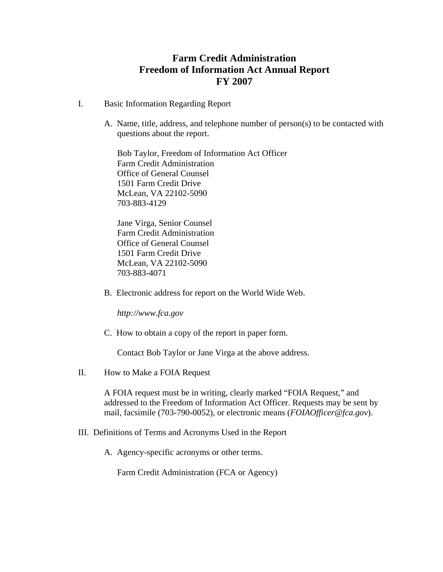# **Farm Credit Administration Freedom of Information Act Annual Report FY 2007**

- I. Basic Information Regarding Report
	- A. Name, title, address, and telephone number of person(s) to be contacted with questions about the report.

Bob Taylor, Freedom of Information Act Officer Farm Credit Administration Office of General Counsel 1501 Farm Credit Drive McLean, VA 22102-5090 703-883-4129

Jane Virga, Senior Counsel Farm Credit Administration Office of General Counsel 1501 Farm Credit Drive McLean, VA 22102-5090 703-883-4071

B. Electronic address for report on the World Wide Web.

*[http://www.fca.gov](http://www.fca.gov/)* 

C. How to obtain a copy of the report in paper form.

Contact Bob Taylor or Jane Virga at the above address.

II. How to Make a FOIA Request

A FOIA request must be in writing, clearly marked "FOIA Request," and addressed to the Freedom of Information Act Officer. Requests may be sent by mail, facsimile (703-790-0052), or electronic means (*FOIAOfficer@fca.gov*).

- III.Definitions of Terms and Acronyms Used in the Report
	- A. Agency-specific acronyms or other terms.

Farm Credit Administration (FCA or Agency)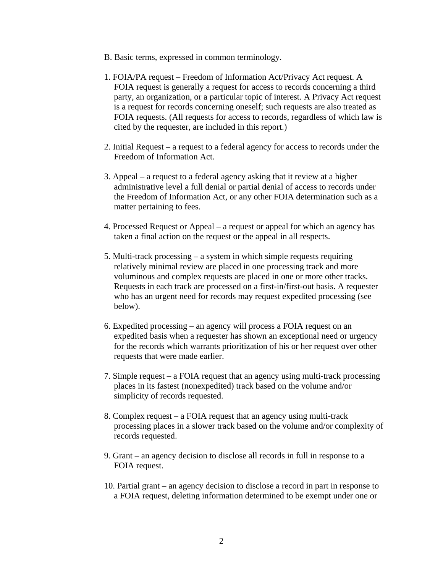- B. Basic terms, expressed in common terminology.
- 1. FOIA/PA request Freedom of Information Act/Privacy Act request. A FOIA request is generally a request for access to records concerning a third party, an organization, or a particular topic of interest. A Privacy Act request is a request for records concerning oneself; such requests are also treated as FOIA requests. (All requests for access to records, regardless of which law is cited by the requester, are included in this report.)
- 2. Initial Request a request to a federal agency for access to records under the Freedom of Information Act.
- 3. Appeal a request to a federal agency asking that it review at a higher administrative level a full denial or partial denial of access to records under the Freedom of Information Act, or any other FOIA determination such as a matter pertaining to fees.
- 4. Processed Request or Appeal a request or appeal for which an agency has taken a final action on the request or the appeal in all respects.
- 5. Multi-track processing a system in which simple requests requiring relatively minimal review are placed in one processing track and more voluminous and complex requests are placed in one or more other tracks. Requests in each track are processed on a first-in/first-out basis. A requester who has an urgent need for records may request expedited processing (see below).
- 6. Expedited processing an agency will process a FOIA request on an expedited basis when a requester has shown an exceptional need or urgency for the records which warrants prioritization of his or her request over other requests that were made earlier.
- 7. Simple request a FOIA request that an agency using multi-track processing places in its fastest (nonexpedited) track based on the volume and/or simplicity of records requested.
- 8. Complex request a FOIA request that an agency using multi-track processing places in a slower track based on the volume and/or complexity of records requested.
- 9. Grant an agency decision to disclose all records in full in response to a FOIA request.
- 10. Partial grant an agency decision to disclose a record in part in response to a FOIA request, deleting information determined to be exempt under one or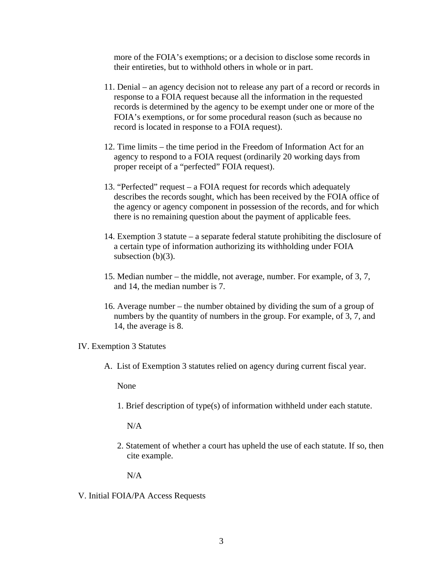more of the FOIA's exemptions; or a decision to disclose some records in their entireties, but to withhold others in whole or in part.

- 11. Denial an agency decision not to release any part of a record or records in response to a FOIA request because all the information in the requested records is determined by the agency to be exempt under one or more of the FOIA's exemptions, or for some procedural reason (such as because no record is located in response to a FOIA request).
- 12. Time limits the time period in the Freedom of Information Act for an agency to respond to a FOIA request (ordinarily 20 working days from proper receipt of a "perfected" FOIA request).
- 13. "Perfected" request a FOIA request for records which adequately describes the records sought, which has been received by the FOIA office of the agency or agency component in possession of the records, and for which there is no remaining question about the payment of applicable fees.
- 14. Exemption 3 statute a separate federal statute prohibiting the disclosure of a certain type of information authorizing its withholding under FOIA subsection  $(b)(3)$ .
- 15. Median number the middle, not average, number. For example, of 3, 7, and 14, the median number is 7.
- 16. Average number the number obtained by dividing the sum of a group of numbers by the quantity of numbers in the group. For example, of 3, 7, and 14, the average is 8.

IV. Exemption 3 Statutes

A. List of Exemption 3 statutes relied on agency during current fiscal year.

None

1. Brief description of type(s) of information withheld under each statute.

N/A

2. Statement of whether a court has upheld the use of each statute. If so, then cite example.

N/A

V. Initial FOIA/PA Access Requests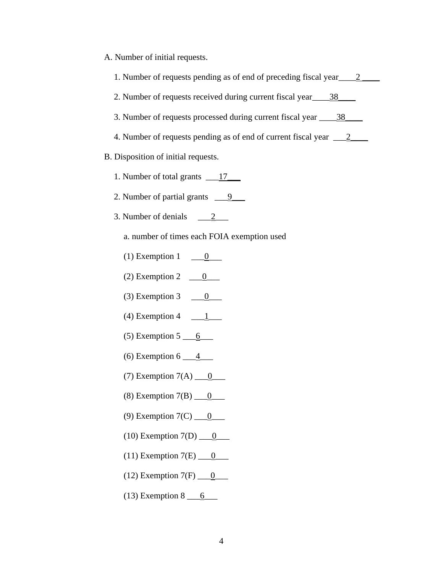|  |  |  |  | A. Number of initial requests. |
|--|--|--|--|--------------------------------|
|--|--|--|--|--------------------------------|

| 1. Number of requests pending as of end of preceding fiscal year 2                  |
|-------------------------------------------------------------------------------------|
| 2. Number of requests received during current fiscal year 38                        |
| 3. Number of requests processed during current fiscal year 188                      |
| 4. Number of requests pending as of end of current fiscal year $\frac{2}{\sqrt{2}}$ |
| B. Disposition of initial requests.                                                 |
| 1. Number of total grants 17                                                        |
| 2. Number of partial grants $\underline{\hspace{1cm}} 9$                            |
| 3. Number of denials $2 \qquad 2 \qquad$                                            |
| a. number of times each FOIA exemption used                                         |
| (1) Exemption 1 $\underline{\qquad 0}$                                              |
| (2) Exemption 2 $\underline{\hspace{1cm} 0}$                                        |
| (3) Exemption 3 $\underline{\hspace{1cm}} 0$                                        |
| (4) Exemption 4 $\qquad \qquad \underline{\qquad 1}$                                |
| $(5)$ Exemption 5 $\underline{6}$                                                   |
| (6) Exemption 6 $\underline{\qquad 4}$                                              |
| (7) Exemption $7(A)$ <u>0</u>                                                       |
| (8) Exemption $7(B)$ <u>0</u>                                                       |
| (9) Exemption $7(C)$ <u>0</u>                                                       |
| (10) Exemption $7(D)$ <u>0</u>                                                      |
| (11) Exemption $7(E)$ <u>0</u>                                                      |
| (12) Exemption $7(F)$ <u>0</u>                                                      |
| $(13)$ Exemption 8 $\underline{6}$                                                  |
|                                                                                     |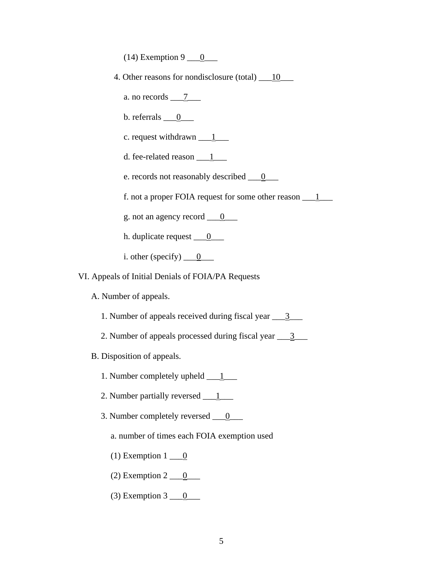(14) Exemption 9  $\underline{\hspace{1cm}0}$ 

- 4. Other reasons for nondisclosure (total) 10
	- a. no records  $\frac{7}{2}$
	- b. referrals  $\underline{\hspace{1cm}} 0$
	- c. request withdrawn  $1$
	- d. fee-related reason  $1$
	- e. records not reasonably described <u>\_\_0</u>\_\_\_
	- f. not a proper FOIA request for some other reason  $1$
	- g. not an agency record  $\underline{\hspace{1cm} 0}$
	- h. duplicate request <u>\_\_0</u>\_\_\_
	- i. other (specify)  $\underline{\hspace{1cm}} 0$
- VI. Appeals of Initial Denials of FOIA/PA Requests
	- A. Number of appeals.
		- 1. Number of appeals received during fiscal year  $\frac{3}{2}$
		- 2. Number of appeals processed during fiscal year  $\frac{3}{2}$
	- B. Disposition of appeals.
		- 1. Number completely upheld  $1$
		- 2. Number partially reversed \_\_1\_\_\_
		- 3. Number completely reversed <u>\_\_0</u>\_\_\_
			- a. number of times each FOIA exemption used
			- (1) Exemption  $1 \underline{\hspace{1cm}} 0$
			- (2) Exemption  $2 \underline{\hspace{1cm}} 0$
			- (3) Exemption  $3 \underline{\hspace{1cm}} 0$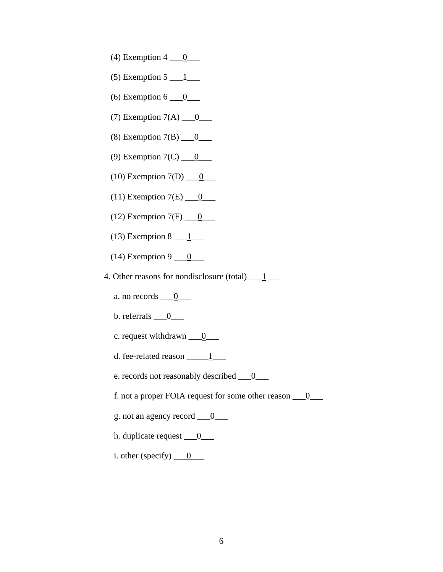- (4) Exemption  $4 \underline{0}$
- $(5)$  Exemption 5  $\underline{\hspace{1cm}1}$
- (6) Exemption  $6 \underline{0}$
- (7) Exemption  $7(A)$  <u>0</u>
- (8) Exemption  $7(B)$  <u>0</u>
- (9) Exemption  $7(C)$  <u>0</u>
- (10) Exemption  $7(D)$  <u>0</u>
- (11) Exemption  $7(E)$  <u>0</u>
- (12) Exemption  $7(F)$  <u>0</u>
- (13) Exemption  $8 \underline{\hspace{1cm}} 1$
- (14) Exemption 9  $\underline{\hspace{1cm}0}$
- 4. Other reasons for nondisclosure (total)  $\frac{1}{\sqrt{1-\frac{1}{n}}}$ 
	- a. no records  $\underline{\hspace{1cm}} 0$
	- b. referrals  $\underline{\hspace{1cm}} 0$
	- c. request withdrawn  $\underline{\hspace{1cm}} 0$
	- d. fee-related reason  $1$
	- e. records not reasonably described <u>\_\_\_0</u>\_\_\_
	- f. not a proper FOIA request for some other reason \_\_\_0\_\_\_
	- g. not an agency record  $\underline{\hspace{1cm}} 0$
	- h. duplicate request  $\underline{\hspace{1cm}} 0$
	- i. other (specify)  $\underline{\hspace{1cm} 0}$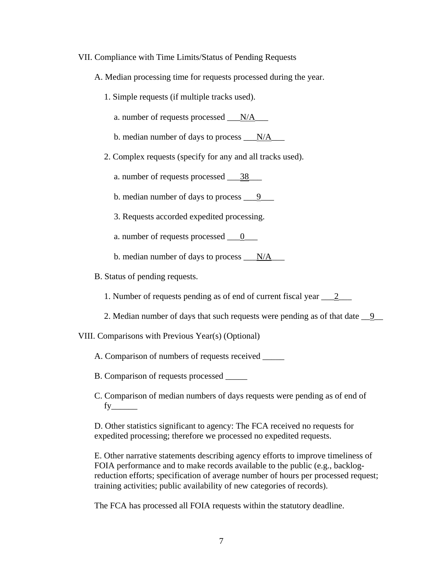# VII. Compliance with Time Limits/Status of Pending Requests

- A. Median processing time for requests processed during the year.
	- 1. Simple requests (if multiple tracks used).
		- a. number of requests processed \_\_\_N/A\_\_\_
		- b. median number of days to process  $N/A$
	- 2. Complex requests (specify for any and all tracks used).
		- a. number of requests processed 38
		- b. median number of days to process  $\frac{9}{2}$
		- 3. Requests accorded expedited processing.
		- a. number of requests processed  $\_\_0$
		- b. median number of days to process  $N/A$
- B. Status of pending requests.
	- 1. Number of requests pending as of end of current fiscal year 2\_\_\_\_\_
	- 2. Median number of days that such requests were pending as of that date  $\underline{\hspace{1em}9}$

VIII. Comparisons with Previous Year(s) (Optional)

- A. Comparison of numbers of requests received \_\_\_\_\_
- B. Comparison of requests processed \_\_\_\_\_
- C. Comparison of median numbers of days requests were pending as of end of fy\_\_\_\_\_\_

D. Other statistics significant to agency: The FCA received no requests for expedited processing; therefore we processed no expedited requests.

E. Other narrative statements describing agency efforts to improve timeliness of FOIA performance and to make records available to the public (e.g., backlogreduction efforts; specification of average number of hours per processed request; training activities; public availability of new categories of records).

The FCA has processed all FOIA requests within the statutory deadline.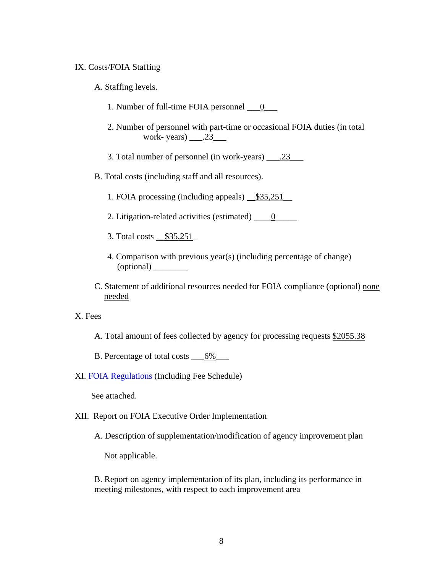# IX. Costs/FOIA Staffing

- A. Staffing levels.
	- 1. Number of full-time FOIA personnel <u>\_\_0</u>\_\_\_
	- 2. Number of personnel with part-time or occasional FOIA duties (in total work-years)  $\_\_2$ . 23
	- 3. Total number of personnel (in work-years) \_\_\_.23\_\_\_
- B. Total costs (including staff and all resources).
	- 1. FOIA processing (including appeals)  $\_\$35,251$
	- 2. Litigation-related activities (estimated) \_\_\_\_0\_\_\_\_\_
	- 3. Total costs \_\_\$35,251\_
	- 4. Comparison with previous year(s) (including percentage of change) (optional) \_\_\_\_\_\_\_\_
- C. Statement of additional resources needed for FOIA compliance (optional) none needed
- X. Fees
	- A. Total amount of fees collected by agency for processing requests \$2055.38
	- B. Percentage of total costs  $\underline{\hspace{1cm}6\%}$
- XI. [FOIA Regulations](http://www.fca.gov/download/fca_regulations_parts_600_to_655.pdf) (Including Fee Schedule)

See attached.

# XII. Report on FOIA Executive Order Implementation

A. Description of supplementation/modification of agency improvement plan

Not applicable.

B. Report on agency implementation of its plan, including its performance in meeting milestones, with respect to each improvement area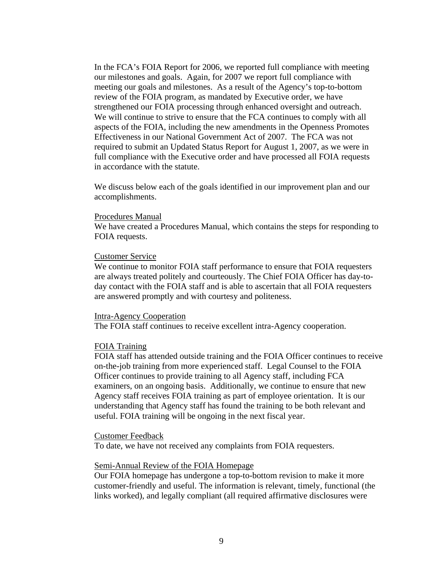In the FCA's FOIA Report for 2006, we reported full compliance with meeting our milestones and goals. Again, for 2007 we report full compliance with meeting our goals and milestones. As a result of the Agency's top-to-bottom review of the FOIA program, as mandated by Executive order, we have strengthened our FOIA processing through enhanced oversight and outreach. We will continue to strive to ensure that the FCA continues to comply with all aspects of the FOIA, including the new amendments in the Openness Promotes Effectiveness in our National Government Act of 2007. The FCA was not required to submit an Updated Status Report for August 1, 2007, as we were in full compliance with the Executive order and have processed all FOIA requests in accordance with the statute.

We discuss below each of the goals identified in our improvement plan and our accomplishments.

### Procedures Manual

We have created a Procedures Manual, which contains the steps for responding to FOIA requests.

### Customer Service

We continue to monitor FOIA staff performance to ensure that FOIA requesters are always treated politely and courteously. The Chief FOIA Officer has day-today contact with the FOIA staff and is able to ascertain that all FOIA requesters are answered promptly and with courtesy and politeness.

#### Intra-Agency Cooperation

The FOIA staff continues to receive excellent intra-Agency cooperation.

### FOIA Training

FOIA staff has attended outside training and the FOIA Officer continues to receive on-the-job training from more experienced staff. Legal Counsel to the FOIA Officer continues to provide training to all Agency staff, including FCA examiners, on an ongoing basis. Additionally, we continue to ensure that new Agency staff receives FOIA training as part of employee orientation. It is our understanding that Agency staff has found the training to be both relevant and useful. FOIA training will be ongoing in the next fiscal year.

### Customer Feedback

To date, we have not received any complaints from FOIA requesters.

## Semi-Annual Review of the FOIA Homepage

Our FOIA homepage has undergone a top-to-bottom revision to make it more customer-friendly and useful. The information is relevant, timely, functional (the links worked), and legally compliant (all required affirmative disclosures were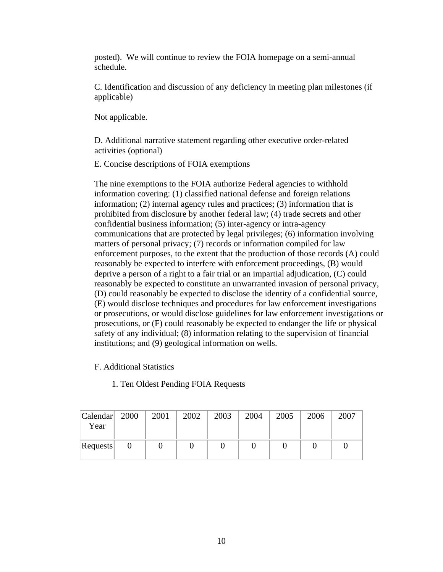posted). We will continue to review the FOIA homepage on a semi-annual schedule.

C. Identification and discussion of any deficiency in meeting plan milestones (if applicable)

Not applicable.

D. Additional narrative statement regarding other executive order-related activities (optional)

E. Concise descriptions of FOIA exemptions

The nine exemptions to the FOIA authorize Federal agencies to withhold information covering: (1) classified national defense and foreign relations information; (2) internal agency rules and practices; (3) information that is prohibited from disclosure by another federal law; (4) trade secrets and other confidential business information; (5) inter-agency or intra-agency communications that are protected by legal privileges; (6) information involving matters of personal privacy; (7) records or information compiled for law enforcement purposes, to the extent that the production of those records (A) could reasonably be expected to interfere with enforcement proceedings, (B) would deprive a person of a right to a fair trial or an impartial adjudication, (C) could reasonably be expected to constitute an unwarranted invasion of personal privacy, (D) could reasonably be expected to disclose the identity of a confidential source, (E) would disclose techniques and procedures for law enforcement investigations or prosecutions, or would disclose guidelines for law enforcement investigations or prosecutions, or (F) could reasonably be expected to endanger the life or physical safety of any individual; (8) information relating to the supervision of financial institutions; and (9) geological information on wells.

- F. Additional Statistics
	- 1. Ten Oldest Pending FOIA Requests

| Calendar 2000<br>Year | 2001 | 2002 | 2003 | 2004 | 2005 | 2006 | 2007 |
|-----------------------|------|------|------|------|------|------|------|
| Requests              |      |      |      |      |      |      |      |